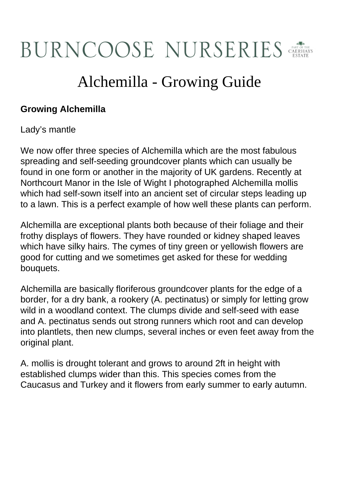## **BURNCOOSE NURSERIES**

## Alchemilla - Growing Guide

## **Growing Alchemilla**

Lady's mantle

We now offer three species of Alchemilla which are the most fabulous spreading and self-seeding groundcover plants which can usually be found in one form or another in the majority of UK gardens. Recently at Northcourt Manor in the Isle of Wight I photographed Alchemilla mollis which had self-sown itself into an ancient set of circular steps leading up to a lawn. This is a perfect example of how well these plants can perform.

Alchemilla are exceptional plants both because of their foliage and their frothy displays of flowers. They have rounded or kidney shaped leaves which have silky hairs. The cymes of tiny green or yellowish flowers are good for cutting and we sometimes get asked for these for wedding bouquets.

Alchemilla are basically floriferous groundcover plants for the edge of a border, for a dry bank, a rookery (A. pectinatus) or simply for letting grow wild in a woodland context. The clumps divide and self-seed with ease and A. pectinatus sends out strong runners which root and can develop into plantlets, then new clumps, several inches or even feet away from the original plant.

A. mollis is drought tolerant and grows to around 2ft in height with established clumps wider than this. This species comes from the Caucasus and Turkey and it flowers from early summer to early autumn.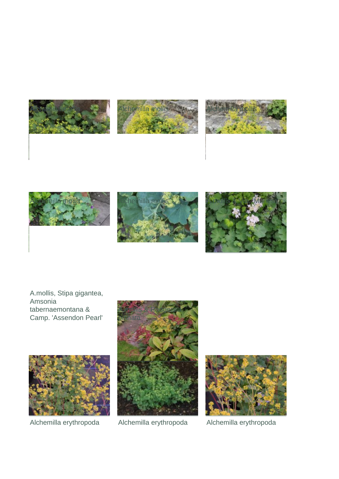







A.mollis, Stipa gigantea, Amsonia tabernaemontana & Camp. 'Assendon Pearl'





Alchemilla erythropoda Alchemilla erythropoda Alchemilla erythropoda